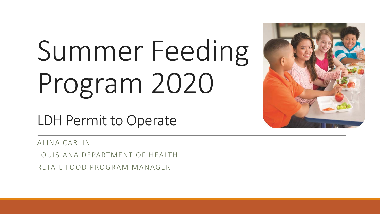# Summer Feeding Program 2020



LDH Permit to Operate

ALINA CARLIN

LOUISIANA DEPARTMENT OF HEALTH

RETAIL FOOD PROGRAM MANAGER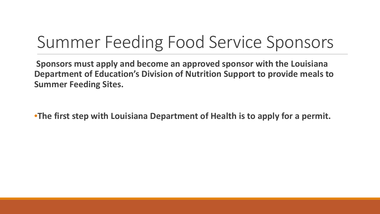### Summer Feeding Food Service Sponsors

**Sponsors must apply and become an approved sponsor with the Louisiana Department of Education's Division of Nutrition Support to provide meals to Summer Feeding Sites.**

•**The first step with Louisiana Department of Health is to apply for a permit.**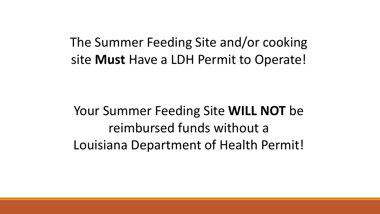The Summer Feeding Site and/or cooking site **Must** Have a LDH Permit to Operate!

Your Summer Feeding Site **WILL NOT** be reimbursed funds without a Louisiana Department of Health Permit!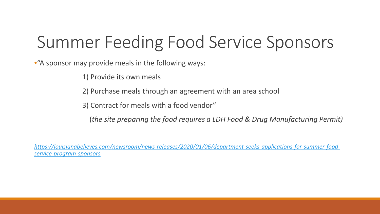# Summer Feeding Food Service Sponsors

•"A sponsor may provide meals in the following ways:

1) Provide its own meals

2) Purchase meals through an agreement with an area school

3) Contract for meals with a food vendor"

(*the site preparing the food requires a LDH Food & Drug Manufacturing Permit)*

*[https://louisianabelieves.com/newsroom/news-releases/2020/01/06/department-seeks-applications-for-summer-food](https://louisianabelieves.com/newsroom/news-releases/2020/01/06/department-seeks-applications-for-summer-food-service-program-sponsors)service-program-sponsors*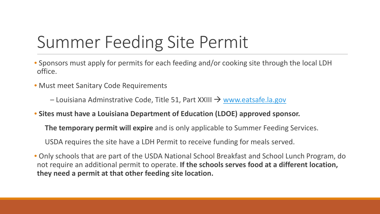# Summer Feeding Site Permit

- Sponsors must apply for permits for each feeding and/or cooking site through the local LDH office.
- Must meet Sanitary Code Requirements
	- $-$  Louisiana Adminstrative Code, Title 51, Part XXIII  $\rightarrow$  [www.eatsafe.la.gov](http://www.eatsafe.la.gov/)
- **Sites must have a Louisiana Department of Education (LDOE) approved sponsor.** 
	- **The temporary permit will expire** and is only applicable to Summer Feeding Services.
	- USDA requires the site have a LDH Permit to receive funding for meals served.
- Only schools that are part of the USDA National School Breakfast and School Lunch Program, do not require an additional permit to operate. **If the schools serves food at a different location, they need a permit at that other feeding site location.**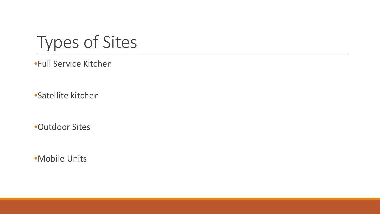Types of Sites

•Full Service Kitchen

•Satellite kitchen

•Outdoor Sites

•Mobile Units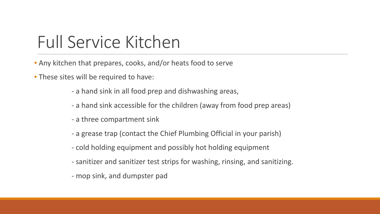#### Full Service Kitchen

- Any kitchen that prepares, cooks, and/or heats food to serve
- These sites will be required to have:
	- a hand sink in all food prep and dishwashing areas,
	- a hand sink accessible for the children (away from food prep areas)
	- a three compartment sink
	- a grease trap (contact the Chief Plumbing Official in your parish)
	- cold holding equipment and possibly hot holding equipment
	- sanitizer and sanitizer test strips for washing, rinsing, and sanitizing.
	- mop sink, and dumpster pad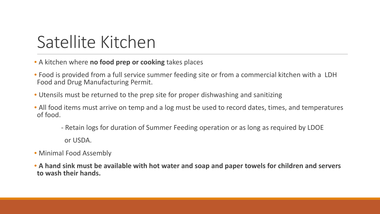# Satellite Kitchen

- A kitchen where **no food prep or cooking** takes places
- Food is provided from a full service summer feeding site or from a commercial kitchen with a LDH Food and Drug Manufacturing Permit.
- Utensils must be returned to the prep site for proper dishwashing and sanitizing
- All food items must arrive on temp and a log must be used to record dates, times, and temperatures of food.
	- Retain logs for duration of Summer Feeding operation or as long as required by LDOE or USDA.
- Minimal Food Assembly
- **A hand sink must be available with hot water and soap and paper towels for children and servers to wash their hands.**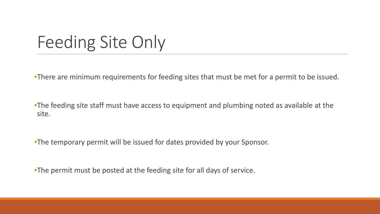#### Feeding Site Only

•There are minimum requirements for feeding sites that must be met for a permit to be issued.

•The feeding site staff must have access to equipment and plumbing noted as available at the site.

•The temporary permit will be issued for dates provided by your Sponsor.

•The permit must be posted at the feeding site for all days of service.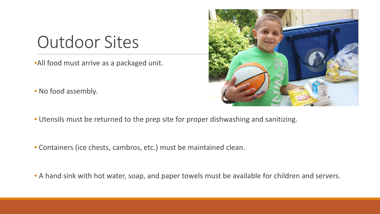#### Outdoor Sites

•All food must arrive as a packaged unit.

• No food assembly.



- Utensils must be returned to the prep site for proper dishwashing and sanitizing.
- Containers (ice chests, cambros, etc.) must be maintained clean.
- A hand sink with hot water, soap, and paper towels must be available for children and servers.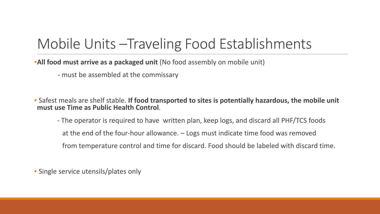#### Mobile Units –Traveling Food Establishments

•**All food must arrive as a packaged unit** (No food assembly on mobile unit)

- must be assembled at the commissary

• Safest meals are shelf stable. **If food transported to sites is potentially hazardous, the mobile unit must use Time as Public Health Control**.

- The operator is required to have written plan, keep logs, and discard all PHF/TCS foods at the end of the four-hour allowance. – Logs must indicate time food was removed from temperature control and time for discard. Food should be labeled with discard time.

• Single service utensils/plates only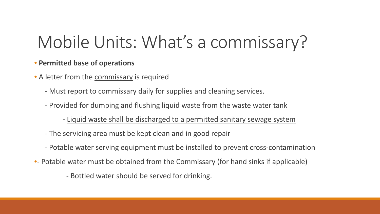# Mobile Units: What's a commissary?

#### • **Permitted base of operations**

- A letter from the commissary is required
	- Must report to commissary daily for supplies and cleaning services.
	- Provided for dumping and flushing liquid waste from the waste water tank
		- Liquid waste shall be discharged to a permitted sanitary sewage system
	- The servicing area must be kept clean and in good repair
	- Potable water serving equipment must be installed to prevent cross-contamination
- Potable water must be obtained from the Commissary (for hand sinks if applicable)
	- Bottled water should be served for drinking.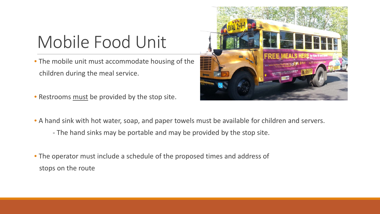# Mobile Food Unit

• The mobile unit must accommodate housing of the children during the meal service.

• Restrooms must be provided by the stop site.



- A hand sink with hot water, soap, and paper towels must be available for children and servers.
	- The hand sinks may be portable and may be provided by the stop site.
- The operator must include a schedule of the proposed times and address of stops on the route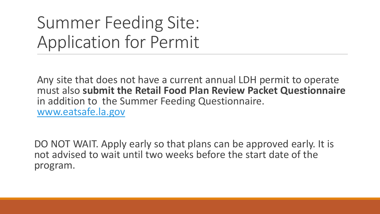# Summer Feeding Site: Application for Permit

Any site that does not have a current annual LDH permit to operate must also **submit the Retail Food Plan Review Packet Questionnaire**  in addition to the Summer Feeding Questionnaire. [www.eatsafe.la.gov](http://www.eatsafe.la.gov/)

DO NOT WAIT. Apply early so that plans can be approved early. It is not advised to wait until two weeks before the start date of the program.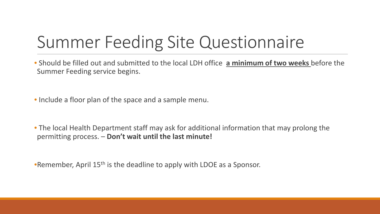# Summer Feeding Site Questionnaire

• Should be filled out and submitted to the local LDH office **a minimum of two weeks** before the Summer Feeding service begins.

• Include a floor plan of the space and a sample menu.

• The local Health Department staff may ask for additional information that may prolong the permitting process. – **Don't wait until the last minute!**

•Remember, April 15<sup>th</sup> is the deadline to apply with LDOE as a Sponsor.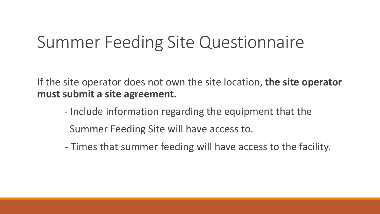#### Summer Feeding Site Questionnaire

If the site operator does not own the site location, **the site operator must submit a site agreement.** 

- Include information regarding the equipment that the Summer Feeding Site will have access to.
- Times that summer feeding will have access to the facility.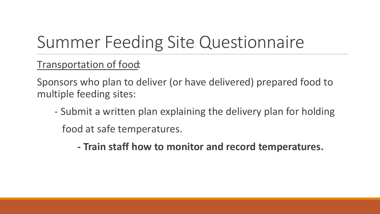# Summer Feeding Site Questionnaire

Transportation of food:

Sponsors who plan to deliver (or have delivered) prepared food to multiple feeding sites:

- Submit a written plan explaining the delivery plan for holding food at safe temperatures.

**- Train staff how to monitor and record temperatures.**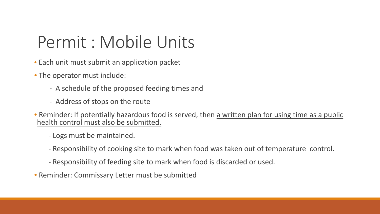#### Permit : Mobile Units

- Each unit must submit an application packet
- The operator must include:
	- A schedule of the proposed feeding times and
	- Address of stops on the route
- Reminder: If potentially hazardous food is served, then a written plan for using time as a public health control must also be submitted.
	- Logs must be maintained.
	- Responsibility of cooking site to mark when food was taken out of temperature control.
	- Responsibility of feeding site to mark when food is discarded or used.
- Reminder: Commissary Letter must be submitted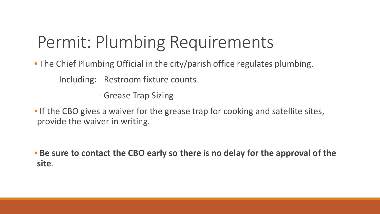# Permit: Plumbing Requirements

• The Chief Plumbing Official in the city/parish office regulates plumbing.

- Including: - Restroom fixture counts

- Grease Trap Sizing

• If the CBO gives a waiver for the grease trap for cooking and satellite sites, provide the waiver in writing.

• **Be sure to contact the CBO early so there is no delay for the approval of the site**.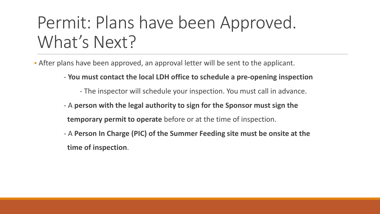# Permit: Plans have been Approved. What's Next?

• After plans have been approved, an approval letter will be sent to the applicant.

- **You must contact the local LDH office to schedule a pre-opening inspection**
	- The inspector will schedule your inspection. You must call in advance.
- A **person with the legal authority to sign for the Sponsor must sign the temporary permit to operate** before or at the time of inspection.
- A **Person In Charge (PIC) of the Summer Feeding site must be onsite at the time of inspection**.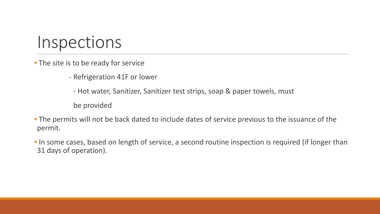#### Inspections

• The site is to be ready for service

- Refrigeration 41F or lower

- Hot water, Sanitizer, Sanitizer test strips, soap & paper towels, must

be provided

• The permits will not be back dated to include dates of service previous to the issuance of the permit.

• In some cases, based on length of service, a second routine inspection is required (if longer than 31 days of operation).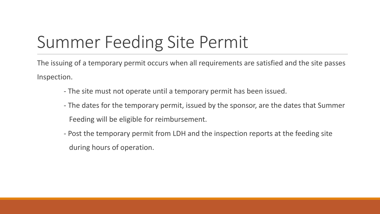# Summer Feeding Site Permit

The issuing of a temporary permit occurs when all requirements are satisfied and the site passes Inspection.

- The site must not operate until a temporary permit has been issued.
- The dates for the temporary permit, issued by the sponsor, are the dates that Summer Feeding will be eligible for reimbursement.
- Post the temporary permit from LDH and the inspection reports at the feeding site during hours of operation.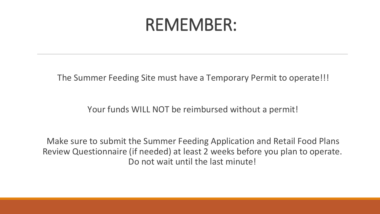#### REMEMBER:

The Summer Feeding Site must have a Temporary Permit to operate!!!

Your funds WILL NOT be reimbursed without a permit!

Make sure to submit the Summer Feeding Application and Retail Food Plans Review Questionnaire (if needed) at least 2 weeks before you plan to operate. Do not wait until the last minute!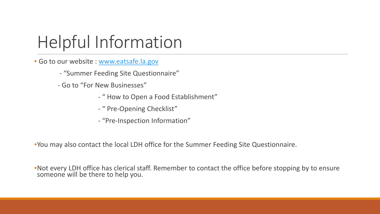# Helpful Information

• Go to our website : [www.eatsafe.la.gov](http://www.eatsafe.la.gov/)

- "Summer Feeding Site Questionnaire"

- Go to "For New Businesses"

- " How to Open a Food Establishment"

- " Pre-Opening Checklist"

- "Pre-Inspection Information"

•You may also contact the local LDH office for the Summer Feeding Site Questionnaire.

•Not every LDH office has clerical staff. Remember to contact the office before stopping by to ensure someone will be there to help you.